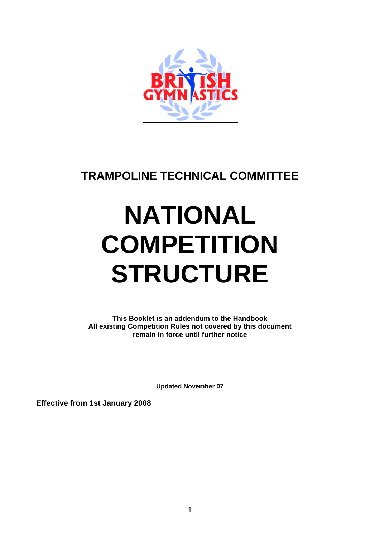

# **TRAMPOLINE TECHNICAL COMMITTEE**

# **NATIONAL COMPETITION STRUCTURE**

**This Booklet is an addendum to the Handbook All existing Competition Rules not covered by this document remain in force until further notice** 

**Updated November 07** 

**Effective from 1st January 2008**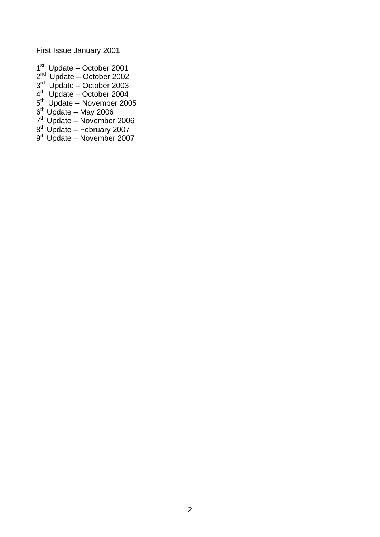First Issue January 2001

- $1<sup>st</sup>$  Update October 2001
- 2<sup>nd</sup> Update October 2002
- $3<sup>rd</sup>$  Update October 2003
- $4<sup>th</sup>$  Update October 2004
- 5<sup>th</sup> Update November 2005
- $6<sup>th</sup>$  Update May 2006
- 7<sup>th</sup> Update November 2006
- $8<sup>th</sup>$  Update February 2007
- 9<sup>th</sup> Update November 2007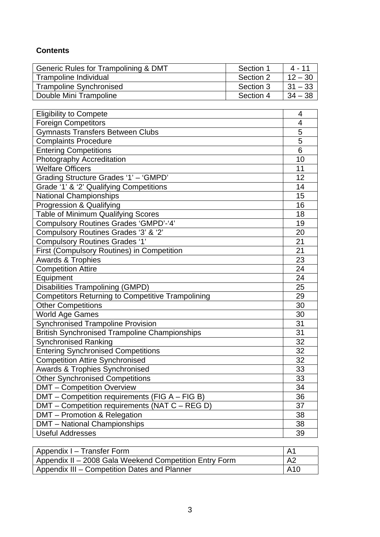# **Contents**

| Generic Rules for Trampolining & DMT | Section 1 | 4 - 11     |
|--------------------------------------|-----------|------------|
| Trampoline Individual                | Section 2 | $12 - 30$  |
| <b>Trampoline Synchronised</b>       | Section 3 | $131 - 33$ |
| Double Mini Trampoline               | Section 4 | $34 - 38$  |

| <b>Eligibility to Compete</b>                            | 4               |  |  |  |
|----------------------------------------------------------|-----------------|--|--|--|
| <b>Foreign Competitors</b>                               | $\overline{4}$  |  |  |  |
| <b>Gymnasts Transfers Between Clubs</b>                  | 5               |  |  |  |
| <b>Complaints Procedure</b>                              | 5               |  |  |  |
| <b>Entering Competitions</b>                             | 6               |  |  |  |
| Photography Accreditation                                | 10              |  |  |  |
| <b>Welfare Officers</b>                                  | 11              |  |  |  |
| Grading Structure Grades '1' - 'GMPD'                    | 12              |  |  |  |
| Grade '1' & '2' Qualifying Competitions                  | 14              |  |  |  |
| <b>National Championships</b>                            | 15              |  |  |  |
| Progression & Qualifying                                 | 16              |  |  |  |
| <b>Table of Minimum Qualifying Scores</b>                | 18              |  |  |  |
| <b>Compulsory Routines Grades 'GMPD'-'4'</b>             | 19              |  |  |  |
| Compulsory Routines Grades '3' & '2'                     | 20              |  |  |  |
| <b>Compulsory Routines Grades '1'</b>                    | 21              |  |  |  |
| First (Compulsory Routines) in Competition               | 21              |  |  |  |
| <b>Awards &amp; Trophies</b>                             | 23              |  |  |  |
| <b>Competition Attire</b>                                |                 |  |  |  |
| Equipment                                                | 24              |  |  |  |
| <b>Disabilities Trampolining (GMPD)</b>                  | 25              |  |  |  |
| <b>Competitors Returning to Competitive Trampolining</b> | 29              |  |  |  |
| <b>Other Competitions</b>                                | 30              |  |  |  |
| World Age Games                                          | 30              |  |  |  |
| <b>Synchronised Trampoline Provision</b>                 | 31              |  |  |  |
| <b>British Synchronised Trampoline Championships</b>     | 31              |  |  |  |
| <b>Synchronised Ranking</b>                              | $\overline{32}$ |  |  |  |
| <b>Entering Synchronised Competitions</b>                | $\overline{32}$ |  |  |  |
| <b>Competition Attire Synchronised</b>                   | 32              |  |  |  |
| <b>Awards &amp; Trophies Synchronised</b>                | $\overline{33}$ |  |  |  |
| <b>Other Synchronised Competitions</b>                   | 33              |  |  |  |
| <b>DMT</b> - Competition Overview                        | 34              |  |  |  |
| DMT - Competition requirements (FIG A - FIG B)           | 36              |  |  |  |
| DMT - Competition requirements (NAT C - REG D)           | 37<br>38        |  |  |  |
| DMT - Promotion & Relegation                             |                 |  |  |  |
| <b>DMT</b> - National Championships                      | 38              |  |  |  |
| <b>Useful Addresses</b>                                  | 39              |  |  |  |

| Appendix I - Transfer Form                             | l Ai           |
|--------------------------------------------------------|----------------|
| Appendix II - 2008 Gala Weekend Competition Entry Form | A <sub>2</sub> |
| Appendix III – Competition Dates and Planner           | <b>A10</b>     |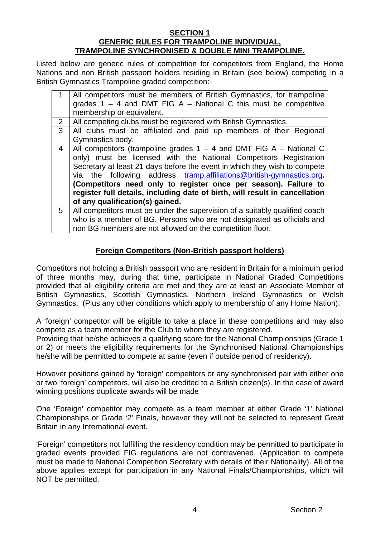#### **SECTION 1 GENERIC RULES FOR TRAMPOLINE INDIVIDUAL, TRAMPOLINE SYNCHRONISED & DOUBLE MINI TRAMPOLINE.**

Listed below are generic rules of competition for competitors from England, the Home Nations and non British passport holders residing in Britain (see below) competing in a British Gymnastics Trampoline graded competition:-

| All competitors must be members of British Gymnastics, for trampoline<br>grades $1 - 4$ and DMT FIG A - National C this must be competitive<br>All clubs must be affiliated and paid up members of their Regional<br>All competitors (trampoline grades $1 - 4$ and DMT FIG A – National C |  |  |  |  |
|--------------------------------------------------------------------------------------------------------------------------------------------------------------------------------------------------------------------------------------------------------------------------------------------|--|--|--|--|
|                                                                                                                                                                                                                                                                                            |  |  |  |  |
|                                                                                                                                                                                                                                                                                            |  |  |  |  |
|                                                                                                                                                                                                                                                                                            |  |  |  |  |
|                                                                                                                                                                                                                                                                                            |  |  |  |  |
|                                                                                                                                                                                                                                                                                            |  |  |  |  |
|                                                                                                                                                                                                                                                                                            |  |  |  |  |
|                                                                                                                                                                                                                                                                                            |  |  |  |  |
| only) must be licensed with the National Competitors Registration                                                                                                                                                                                                                          |  |  |  |  |
| Secretary at least 21 days before the event in which they wish to compete                                                                                                                                                                                                                  |  |  |  |  |
| via the following address tramp.affiliations@british-gymnastics.org.                                                                                                                                                                                                                       |  |  |  |  |
| (Competitors need only to register once per season). Failure to                                                                                                                                                                                                                            |  |  |  |  |
| register full details, including date of birth, will result in cancellation                                                                                                                                                                                                                |  |  |  |  |
|                                                                                                                                                                                                                                                                                            |  |  |  |  |
| All competitors must be under the supervision of a suitably qualified coach                                                                                                                                                                                                                |  |  |  |  |
| who is a member of BG. Persons who are not designated as officials and                                                                                                                                                                                                                     |  |  |  |  |
|                                                                                                                                                                                                                                                                                            |  |  |  |  |
|                                                                                                                                                                                                                                                                                            |  |  |  |  |

# **Foreign Competitors (Non-British passport holders)**

Competitors not holding a British passport who are resident in Britain for a minimum period of three months may, during that time, participate in National Graded Competitions provided that all eligibility criteria are met and they are at least an Associate Member of British Gymnastics, Scottish Gymnastics, Northern Ireland Gymnastics or Welsh Gymnastics. (Plus any other conditions which apply to membership of any Home Nation).

A 'foreign' competitor will be eligible to take a place in these competitions and may also compete as a team member for the Club to whom they are registered.

Providing that he/she achieves a qualifying score for the National Championships (Grade 1 or 2) or meets the eligibility requirements for the Synchronised National Championships he/she will be permitted to compete at same (even if outside period of residency).

However positions gained by 'foreign' competitors or any synchronised pair with either one or two 'foreign' competitors, will also be credited to a British citizen(s). In the case of award winning positions duplicate awards will be made

One 'Foreign' competitor may compete as a team member at either Grade '1' National Championships or Grade '2' Finals, however they will not be selected to represent Great Britain in any International event.

'Foreign' competitors not fulfilling the residency condition may be permitted to participate in graded events provided FIG regulations are not contravened. (Application to compete must be made to National Competition Secretary with details of their Nationality). All of the above applies except for participation in any National Finals/Championships, which will NOT be permitted.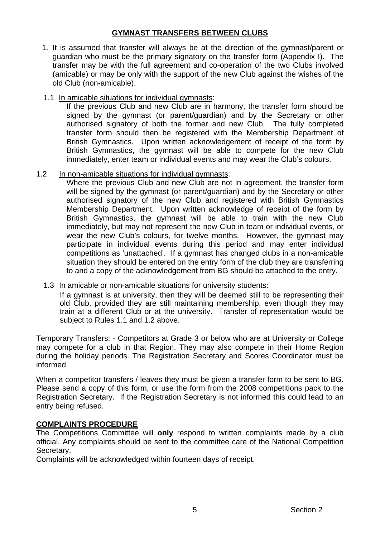#### **GYMNAST TRANSFERS BETWEEN CLUBS**

1. It is assumed that transfer will always be at the direction of the gymnast/parent or guardian who must be the primary signatory on the transfer form (Appendix I). The transfer may be with the full agreement and co-operation of the two Clubs involved (amicable) or may be only with the support of the new Club against the wishes of the old Club (non-amicable).

# 1.1 In amicable situations for individual gymnasts:

If the previous Club and new Club are in harmony, the transfer form should be signed by the gymnast (or parent/guardian) and by the Secretary or other authorised signatory of both the former and new Club. The fully completed transfer form should then be registered with the Membership Department of British Gymnastics. Upon written acknowledgement of receipt of the form by British Gymnastics, the gymnast will be able to compete for the new Club immediately, enter team or individual events and may wear the Club's colours.

# 1.2 In non-amicable situations for individual gymnasts:

Where the previous Club and new Club are not in agreement, the transfer form will be signed by the gymnast (or parent/guardian) and by the Secretary or other authorised signatory of the new Club and registered with British Gymnastics Membership Department. Upon written acknowledge of receipt of the form by British Gymnastics, the gymnast will be able to train with the new Club immediately, but may not represent the new Club in team or individual events, or wear the new Club's colours, for twelve months. However, the gymnast may participate in individual events during this period and may enter individual competitions as 'unattached'. If a gymnast has changed clubs in a non-amicable situation they should be entered on the entry form of the club they are transferring to and a copy of the acknowledgement from BG should be attached to the entry.

#### 1.3 In amicable or non-amicable situations for university students:

If a gymnast is at university, then they will be deemed still to be representing their old Club, provided they are still maintaining membership, even though they may train at a different Club or at the university. Transfer of representation would be subiect to Rules 1.1 and 1.2 above.

Temporary Transfers: - Competitors at Grade 3 or below who are at University or College may compete for a club in that Region. They may also compete in their Home Region during the holiday periods. The Registration Secretary and Scores Coordinator must be informed.

When a competitor transfers / leaves they must be given a transfer form to be sent to BG. Please send a copy of this form, or use the form from the 2008 competitions pack to the Registration Secretary. If the Registration Secretary is not informed this could lead to an entry being refused.

# **COMPLAINTS PROCEDURE**

The Competitions Committee will **only** respond to written complaints made by a club official. Any complaints should be sent to the committee care of the National Competition Secretary.

Complaints will be acknowledged within fourteen days of receipt.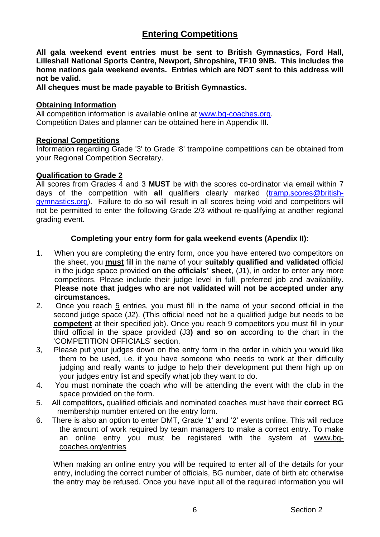# **Entering Competitions**

**All gala weekend event entries must be sent to British Gymnastics, Ford Hall, Lilleshall National Sports Centre, Newport, Shropshire, TF10 9NB. This includes the home nations gala weekend events. Entries which are NOT sent to this address will not be valid.** 

**All cheques must be made payable to British Gymnastics.**

#### **Obtaining Information**

All competition information is available online at [www.bg-coaches.org](http://www.bg-coaches.org/). Competition Dates and planner can be obtained here in Appendix III.

#### **Regional Competitions**

Information regarding Grade '3' to Grade '8' trampoline competitions can be obtained from your Regional Competition Secretary.

#### **Qualification to Grade 2**

All scores from Grades 4 and 3 **MUST** be with the scores co-ordinator via email within 7 days of the competition with **all** qualifiers clearly marked (tramp.scores@britishgymnastics.org). Failure to do so will result in all scores being void and competitors will not be permitted to enter the following Grade 2/3 without re-qualifying at another regional grading event.

#### **Completing your entry form for gala weekend events (Apendix II):**

- 1. When you are completing the entry form, once you have entered two competitors on the sheet, you **must** fill in the name of your **suitably qualified and validated** official in the judge space provided **on the officials' sheet**, (J1), in order to enter any more competitors. Please include their judge level in full, preferred job and availability. **Please note that judges who are not validated will not be accepted under any circumstances.**
- 2. Once you reach 5 entries, you must fill in the name of your second official in the second judge space (J2). (This official need not be a qualified judge but needs to be **competent** at their specified job). Once you reach 9 competitors you must fill in your third official in the space provided (J3**) and so on** according to the chart in the 'COMPETITION OFFICIALS' section.
- 3, Please put your judges down on the entry form in the order in which you would like them to be used, i.e. if you have someone who needs to work at their difficulty judging and really wants to judge to help their development put them high up on your judges entry list and specify what job they want to do.
- 4. You must nominate the coach who will be attending the event with the club in the space provided on the form.
- 5. All competitors**,** qualified officials and nominated coaches must have their **correct** BG membership number entered on the entry form.
- 6. There is also an option to enter DMT, Grade '1' and '2' events online. This will reduce the amount of work required by team managers to make a correct entry. To make an online entry you must be registered with the system at [www.bg](http://www.bg-coaches.org/entries)[coaches.org/entries](http://www.bg-coaches.org/entries)

When making an online entry you will be required to enter all of the details for your entry, including the correct number of officials, BG number, date of birth etc otherwise the entry may be refused. Once you have input all of the required information you will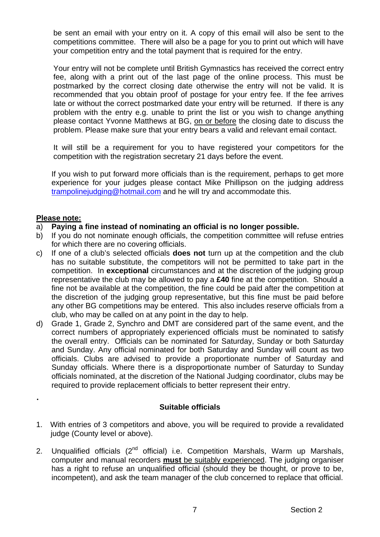be sent an email with your entry on it. A copy of this email will also be sent to the competitions committee. There will also be a page for you to print out which will have your competition entry and the total payment that is required for the entry.

Your entry will not be complete until British Gymnastics has received the correct entry fee, along with a print out of the last page of the online process. This must be postmarked by the correct closing date otherwise the entry will not be valid. It is recommended that you obtain proof of postage for your entry fee. If the fee arrives late or without the correct postmarked date your entry will be returned. If there is any problem with the entry e.g. unable to print the list or you wish to change anything please contact Yvonne Matthews at BG, on or before the closing date to discuss the problem. Please make sure that your entry bears a valid and relevant email contact.

It will still be a requirement for you to have registered your competitors for the competition with the registration secretary 21 days before the event.

If you wish to put forward more officials than is the requirement, perhaps to get more experience for your judges please contact Mike Phillipson on the judging address [trampolinejudging@hotmail.com](mailto:trampolinejudging@hotmail.com) and he will try and accommodate this.

#### **Please note:**

#### a) **Paying a fine instead of nominating an official is no longer possible.**

- b) If you do not nominate enough officials, the competition committee will refuse entries for which there are no covering officials.
- c) If one of a club's selected officials **does not** turn up at the competition and the club has no suitable substitute, the competitors will not be permitted to take part in the competition. In **exceptional** circumstances and at the discretion of the judging group representative the club may be allowed to pay a **£40** fine at the competition. Should a fine not be available at the competition, the fine could be paid after the competition at the discretion of the judging group representative, but this fine must be paid before any other BG competitions may be entered. This also includes reserve officials from a club, who may be called on at any point in the day to help.
- d) Grade 1, Grade 2, Synchro and DMT are considered part of the same event, and the correct numbers of appropriately experienced officials must be nominated to satisfy the overall entry. Officials can be nominated for Saturday, Sunday or both Saturday and Sunday. Any official nominated for both Saturday and Sunday will count as two officials. Clubs are advised to provide a proportionate number of Saturday and Sunday officials. Where there is a disproportionate number of Saturday to Sunday officials nominated, at the discretion of the National Judging coordinator, clubs may be required to provide replacement officials to better represent their entry.

# .

#### **Suitable officials**

- 1. With entries of 3 competitors and above, you will be required to provide a revalidated judge (County level or above).
- 2. Unqualified officials (2<sup>nd</sup> official) i.e. Competition Marshals, Warm up Marshals, computer and manual recorders **must** be suitably experienced. The judging organiser has a right to refuse an unqualified official (should they be thought, or prove to be, incompetent), and ask the team manager of the club concerned to replace that official.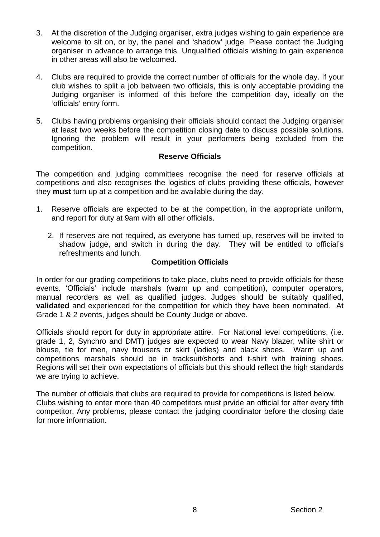- 3. At the discretion of the Judging organiser, extra judges wishing to gain experience are welcome to sit on, or by, the panel and 'shadow' judge. Please contact the Judging organiser in advance to arrange this. Unqualified officials wishing to gain experience in other areas will also be welcomed.
- 4. Clubs are required to provide the correct number of officials for the whole day. If your club wishes to split a job between two officials, this is only acceptable providing the Judging organiser is informed of this before the competition day, ideally on the 'officials' entry form.
- 5. Clubs having problems organising their officials should contact the Judging organiser at least two weeks before the competition closing date to discuss possible solutions. Ignoring the problem will result in your performers being excluded from the competition.

#### **Reserve Officials**

The competition and judging committees recognise the need for reserve officials at competitions and also recognises the logistics of clubs providing these officials, however they **must** turn up at a competition and be available during the day.

- 1. Reserve officials are expected to be at the competition, in the appropriate uniform, and report for duty at 9am with all other officials.
	- 2. If reserves are not required, as everyone has turned up, reserves will be invited to shadow judge, and switch in during the day. They will be entitled to official's refreshments and lunch.

#### **Competition Officials**

In order for our grading competitions to take place, clubs need to provide officials for these events. 'Officials' include marshals (warm up and competition), computer operators, manual recorders as well as qualified judges. Judges should be suitably qualified, **validated** and experienced for the competition for which they have been nominated. At Grade 1 & 2 events, judges should be County Judge or above.

Officials should report for duty in appropriate attire. For National level competitions, (i.e. grade 1, 2, Synchro and DMT) judges are expected to wear Navy blazer, white shirt or blouse, tie for men, navy trousers or skirt (ladies) and black shoes. Warm up and competitions marshals should be in tracksuit/shorts and t-shirt with training shoes. Regions will set their own expectations of officials but this should reflect the high standards we are trying to achieve.

The number of officials that clubs are required to provide for competitions is listed below. Clubs wishing to enter more than 40 competitors must prvide an official for after every fifth competitor. Any problems, please contact the judging coordinator before the closing date for more information.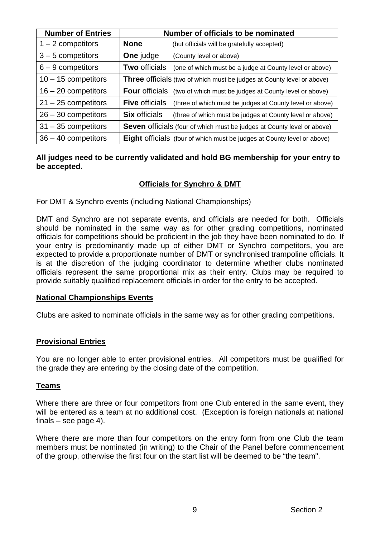| <b>Number of Entries</b> |                       | Number of officials to be nominated                                            |
|--------------------------|-----------------------|--------------------------------------------------------------------------------|
| $1 - 2$ competitors      | <b>None</b>           | (but officials will be gratefully accepted)                                    |
| $3 - 5$ competitors      | One judge             | (County level or above)                                                        |
| $6 - 9$ competitors      | <b>Two officials</b>  | (one of which must be a judge at County level or above)                        |
| $10 - 15$ competitors    |                       | <b>Three</b> officials (two of which must be judges at County level or above)  |
| $16 - 20$ competitors    | <b>Four</b> officials | (two of which must be judges at County level or above)                         |
| $21 - 25$ competitors    | <b>Five officials</b> | (three of which must be judges at County level or above)                       |
| $26 - 30$ competitors    | <b>Six officials</b>  | (three of which must be judges at County level or above)                       |
| $31 - 35$ competitors    |                       | Seven officials (four of which must be judges at County level or above)        |
| $36 - 40$ competitors    |                       | <b>Eight officials</b> (four of which must be judges at County level or above) |

#### **All judges need to be currently validated and hold BG membership for your entry to be accepted.**

# **Officials for Synchro & DMT**

For DMT & Synchro events (including National Championships)

DMT and Synchro are not separate events, and officials are needed for both. Officials should be nominated in the same way as for other grading competitions, nominated officials for competitions should be proficient in the job they have been nominated to do. If your entry is predominantly made up of either DMT or Synchro competitors, you are expected to provide a proportionate number of DMT or synchronised trampoline officials. It is at the discretion of the judging coordinator to determine whether clubs nominated officials represent the same proportional mix as their entry. Clubs may be required to provide suitably qualified replacement officials in order for the entry to be accepted.

#### **National Championships Events**

Clubs are asked to nominate officials in the same way as for other grading competitions.

#### **Provisional Entries**

You are no longer able to enter provisional entries. All competitors must be qualified for the grade they are entering by the closing date of the competition.

# **Teams**

Where there are three or four competitors from one Club entered in the same event, they will be entered as a team at no additional cost. (Exception is foreign nationals at national finals – see page 4).

Where there are more than four competitors on the entry form from one Club the team members must be nominated (in writing) to the Chair of the Panel before commencement of the group, otherwise the first four on the start list will be deemed to be "the team".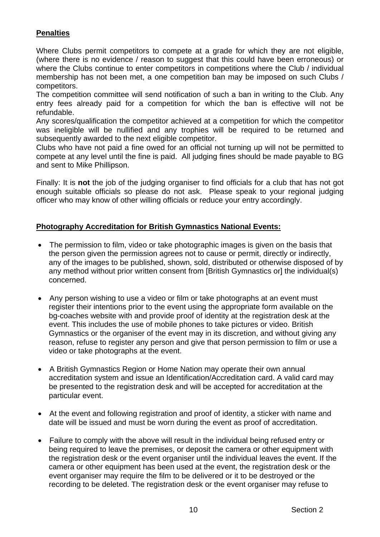# **Penalties**

Where Clubs permit competitors to compete at a grade for which they are not eligible, (where there is no evidence / reason to suggest that this could have been erroneous) or where the Clubs continue to enter competitors in competitions where the Club / individual membership has not been met, a one competition ban may be imposed on such Clubs / competitors.

The competition committee will send notification of such a ban in writing to the Club. Any entry fees already paid for a competition for which the ban is effective will not be refundable.

Any scores/qualification the competitor achieved at a competition for which the competitor was ineligible will be nullified and any trophies will be required to be returned and subsequently awarded to the next eligible competitor.

Clubs who have not paid a fine owed for an official not turning up will not be permitted to compete at any level until the fine is paid. All judging fines should be made payable to BG and sent to Mike Phillipson.

Finally: It is **not** the job of the judging organiser to find officials for a club that has not got enough suitable officials so please do not ask. Please speak to your regional judging officer who may know of other willing officials or reduce your entry accordingly.

# **Photography Accreditation for British Gymnastics National Events:**

- The permission to film, video or take photographic images is given on the basis that the person given the permission agrees not to cause or permit, directly or indirectly, any of the images to be published, shown, sold, distributed or otherwise disposed of by any method without prior written consent from [British Gymnastics or] the individual(s) concerned.
- Any person wishing to use a video or film or take photographs at an event must register their intentions prior to the event using the appropriate form available on the bg-coaches website with and provide proof of identity at the registration desk at the event. This includes the use of mobile phones to take pictures or video. British Gymnastics or the organiser of the event may in its discretion, and without giving any reason, refuse to register any person and give that person permission to film or use a video or take photographs at the event.
- A British Gymnastics Region or Home Nation may operate their own annual accreditation system and issue an Identification/Accreditation card. A valid card may be presented to the registration desk and will be accepted for accreditation at the particular event.
- At the event and following registration and proof of identity, a sticker with name and date will be issued and must be worn during the event as proof of accreditation.
- Failure to comply with the above will result in the individual being refused entry or being required to leave the premises, or deposit the camera or other equipment with the registration desk or the event organiser until the individual leaves the event. If the camera or other equipment has been used at the event, the registration desk or the event organiser may require the film to be delivered or it to be destroyed or the recording to be deleted. The registration desk or the event organiser may refuse to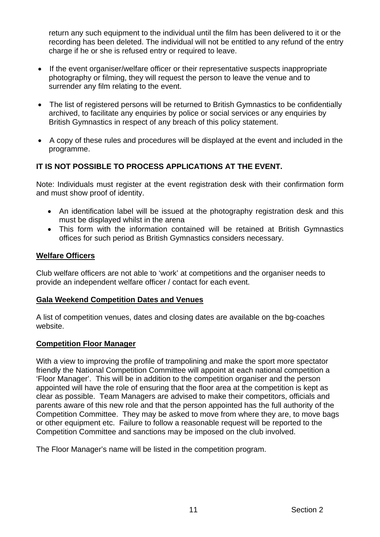return any such equipment to the individual until the film has been delivered to it or the recording has been deleted. The individual will not be entitled to any refund of the entry charge if he or she is refused entry or required to leave.

- If the event organiser/welfare officer or their representative suspects inappropriate photography or filming, they will request the person to leave the venue and to surrender any film relating to the event.
- The list of registered persons will be returned to British Gymnastics to be confidentially archived, to facilitate any enquiries by police or social services or any enquiries by British Gymnastics in respect of any breach of this policy statement.
- A copy of these rules and procedures will be displayed at the event and included in the programme.

# **IT IS NOT POSSIBLE TO PROCESS APPLICATIONS AT THE EVENT.**

Note: Individuals must register at the event registration desk with their confirmation form and must show proof of identity.

- An identification label will be issued at the photography registration desk and this must be displayed whilst in the arena
- This form with the information contained will be retained at British Gymnastics offices for such period as British Gymnastics considers necessary.

#### **Welfare Officers**

Club welfare officers are not able to 'work' at competitions and the organiser needs to provide an independent welfare officer / contact for each event.

#### **Gala Weekend Competition Dates and Venues**

A list of competition venues, dates and closing dates are available on the bg-coaches website.

#### **Competition Floor Manager**

With a view to improving the profile of trampolining and make the sport more spectator friendly the National Competition Committee will appoint at each national competition a 'Floor Manager'. This will be in addition to the competition organiser and the person appointed will have the role of ensuring that the floor area at the competition is kept as clear as possible. Team Managers are advised to make their competitors, officials and parents aware of this new role and that the person appointed has the full authority of the Competition Committee. They may be asked to move from where they are, to move bags or other equipment etc. Failure to follow a reasonable request will be reported to the Competition Committee and sanctions may be imposed on the club involved.

The Floor Manager's name will be listed in the competition program.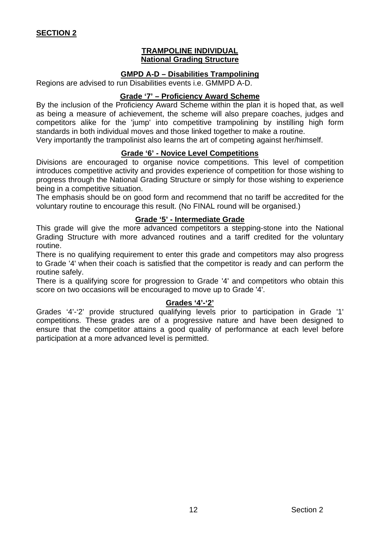#### **TRAMPOLINE INDIVIDUAL National Grading Structure**

#### **GMPD A-D – Disabilities Trampolining**

Regions are advised to run Disabilities events i.e. GMMPD A-D.

#### **Grade '7' – Proficiency Award Scheme**

By the inclusion of the Proficiency Award Scheme within the plan it is hoped that, as well as being a measure of achievement, the scheme will also prepare coaches, judges and competitors alike for the 'jump' into competitive trampolining by instilling high form standards in both individual moves and those linked together to make a routine.

Very importantly the trampolinist also learns the art of competing against her/himself.

# **Grade '6' - Novice Level Competitions**

Divisions are encouraged to organise novice competitions. This level of competition introduces competitive activity and provides experience of competition for those wishing to progress through the National Grading Structure or simply for those wishing to experience being in a competitive situation.

The emphasis should be on good form and recommend that no tariff be accredited for the voluntary routine to encourage this result. (No FINAL round will be organised.)

#### **Grade '5' - Intermediate Grade**

This grade will give the more advanced competitors a stepping-stone into the National Grading Structure with more advanced routines and a tariff credited for the voluntary routine.

There is no qualifying requirement to enter this grade and competitors may also progress to Grade '4' when their coach is satisfied that the competitor is ready and can perform the routine safely.

There is a qualifying score for progression to Grade '4' and competitors who obtain this score on two occasions will be encouraged to move up to Grade '4'.

#### **Grades '4'-'2'**

Grades '4'-'2' provide structured qualifying levels prior to participation in Grade '1' competitions. These grades are of a progressive nature and have been designed to ensure that the competitor attains a good quality of performance at each level before participation at a more advanced level is permitted.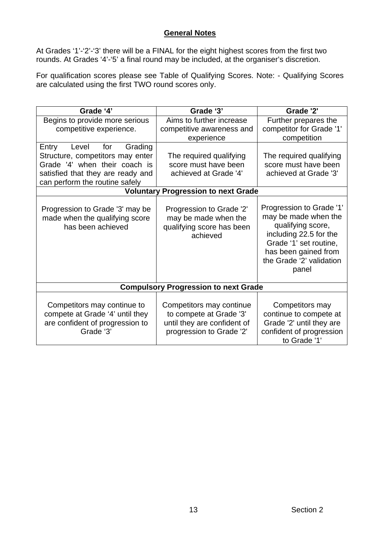# **General Notes**

At Grades '1'-'2'-'3' there will be a FINAL for the eight highest scores from the first two rounds. At Grades '4'-'5' a final round may be included, at the organiser's discretion.

For qualification scores please see Table of Qualifying Scores. Note: - Qualifying Scores are calculated using the first TWO round scores only.

| Grade '4'                                                                                                                                                                    | Grade '3'                                                                                                      | Grade '2'                                                                                                                                                                              |
|------------------------------------------------------------------------------------------------------------------------------------------------------------------------------|----------------------------------------------------------------------------------------------------------------|----------------------------------------------------------------------------------------------------------------------------------------------------------------------------------------|
| Begins to provide more serious<br>competitive experience.                                                                                                                    | Aims to further increase<br>competitive awareness and<br>experience                                            | Further prepares the<br>competitor for Grade '1'<br>competition                                                                                                                        |
| for<br>Grading<br>Entry<br>Level<br>Structure, competitors may enter<br>Grade '4' when their coach is<br>satisfied that they are ready and<br>can perform the routine safely | The required qualifying<br>score must have been<br>achieved at Grade '4'                                       | The required qualifying<br>score must have been<br>achieved at Grade '3'                                                                                                               |
|                                                                                                                                                                              | <b>Voluntary Progression to next Grade</b>                                                                     |                                                                                                                                                                                        |
| Progression to Grade '3' may be<br>made when the qualifying score<br>has been achieved                                                                                       | Progression to Grade '2'<br>may be made when the<br>qualifying score has been<br>achieved                      | Progression to Grade '1'<br>may be made when the<br>qualifying score,<br>including 22.5 for the<br>Grade '1' set routine,<br>has been gained from<br>the Grade '2' validation<br>panel |
|                                                                                                                                                                              | <b>Compulsory Progression to next Grade</b>                                                                    |                                                                                                                                                                                        |
| Competitors may continue to<br>compete at Grade '4' until they<br>are confident of progression to<br>Grade '3'                                                               | Competitors may continue<br>to compete at Grade '3'<br>until they are confident of<br>progression to Grade '2' | Competitors may<br>continue to compete at<br>Grade '2' until they are<br>confident of progression<br>to Grade '1'                                                                      |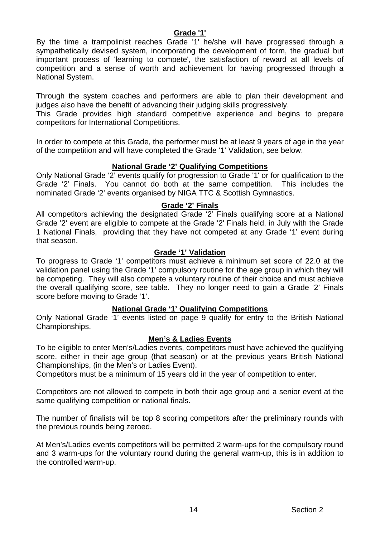#### **Grade '1'**

By the time a trampolinist reaches Grade '1' he/she will have progressed through a sympathetically devised system, incorporating the development of form, the gradual but important process of 'learning to compete', the satisfaction of reward at all levels of competition and a sense of worth and achievement for having progressed through a National System.

Through the system coaches and performers are able to plan their development and judges also have the benefit of advancing their judging skills progressively.

This Grade provides high standard competitive experience and begins to prepare competitors for International Competitions.

In order to compete at this Grade, the performer must be at least 9 years of age in the year of the competition and will have completed the Grade '1' Validation, see below.

#### **National Grade '2' Qualifying Competitions**

Only National Grade '2' events qualify for progression to Grade '1' or for qualification to the Grade '2' Finals. You cannot do both at the same competition. This includes the nominated Grade '2' events organised by NIGA TTC & Scottish Gymnastics.

#### **Grade '2' Finals**

All competitors achieving the designated Grade '2' Finals qualifying score at a National Grade '2' event are eligible to compete at the Grade '2' Finals held, in July with the Grade 1 National Finals, providing that they have not competed at any Grade '1' event during that season.

#### **Grade '1' Validation**

To progress to Grade '1' competitors must achieve a minimum set score of 22.0 at the validation panel using the Grade '1' compulsory routine for the age group in which they will be competing. They will also compete a voluntary routine of their choice and must achieve the overall qualifying score, see table. They no longer need to gain a Grade '2' Finals score before moving to Grade '1'.

#### **National Grade '1' Qualifying Competitions**

Only National Grade '1' events listed on page 9 qualify for entry to the British National Championships.

#### **Men's & Ladies Events**

To be eligible to enter Men's/Ladies events, competitors must have achieved the qualifying score, either in their age group (that season) or at the previous years British National Championships, (in the Men's or Ladies Event).

Competitors must be a minimum of 15 years old in the year of competition to enter.

Competitors are not allowed to compete in both their age group and a senior event at the same qualifying competition or national finals.

The number of finalists will be top 8 scoring competitors after the preliminary rounds with the previous rounds being zeroed.

At Men's/Ladies events competitors will be permitted 2 warm-ups for the compulsory round and 3 warm-ups for the voluntary round during the general warm-up, this is in addition to the controlled warm-up.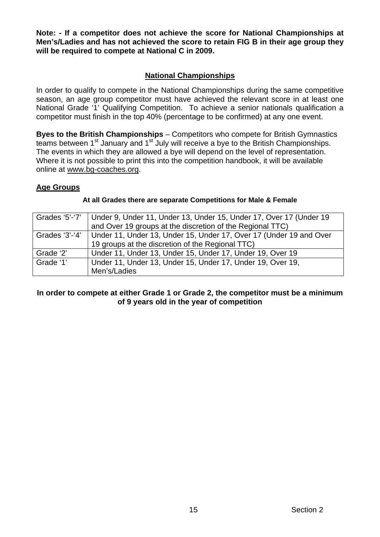**Note: - If a competitor does not achieve the score for National Championships at Men's/Ladies and has not achieved the score to retain FIG B in their age group they will be required to compete at National C in 2009.** 

# **National Championships**

In order to qualify to compete in the National Championships during the same competitive season, an age group competitor must have achieved the relevant score in at least one National Grade '1' Qualifying Competition. To achieve a senior nationals qualification a competitor must finish in the top 40% (percentage to be confirmed) at any one event.

**Byes to the British Championships** – Competitors who compete for British Gymnastics teams between 1<sup>st</sup> January and 1<sup>st</sup> July will receive a bye to the British Championships. The events in which they are allowed a bye will depend on the level of representation. Where it is not possible to print this into the competition handbook, it will be available online at [www.bg-coaches.org](http://www.bg-coaches.org/).

# **Age Groups**

#### **At all Grades there are separate Competitions for Male & Female**

|                | Grades '5'-'7'   Under 9, Under 11, Under 13, Under 15, Under 17, Over 17 (Under 19 |
|----------------|-------------------------------------------------------------------------------------|
|                | and Over 19 groups at the discretion of the Regional TTC)                           |
| Grades $3'-4'$ | Under 11, Under 13, Under 15, Under 17, Over 17 (Under 19 and Over                  |
|                | 19 groups at the discretion of the Regional TTC)                                    |
| Grade '2'      | Under 11, Under 13, Under 15, Under 17, Under 19, Over 19                           |
| Grade '1'      | Under 11, Under 13, Under 15, Under 17, Under 19, Over 19,                          |
|                | Men's/Ladies                                                                        |

#### **In order to compete at either Grade 1 or Grade 2, the competitor must be a minimum of 9 years old in the year of competition**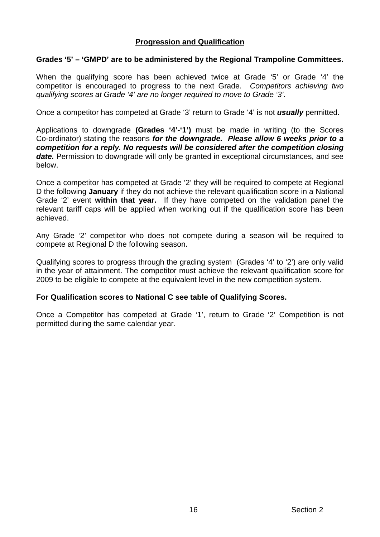# **Progression and Qualification**

#### **Grades '5' – 'GMPD' are to be administered by the Regional Trampoline Committees.**

When the qualifying score has been achieved twice at Grade '5' or Grade '4' the competitor is encouraged to progress to the next Grade. *Competitors achieving two qualifying scores at Grade '4' are no longer required to move to Grade '3'*.

Once a competitor has competed at Grade '3' return to Grade '4' is not *usually* permitted.

Applications to downgrade **(Grades '4'-'1')** must be made in writing (to the Scores Co-ordinator) stating the reasons *for the downgrade. Please allow 6 weeks prior to a competition for a reply. No requests will be considered after the competition closing date.* Permission to downgrade will only be granted in exceptional circumstances, and see below.

Once a competitor has competed at Grade '2' they will be required to compete at Regional D the following **January** if they do not achieve the relevant qualification score in a National Grade '2' event **within that year.** If they have competed on the validation panel the relevant tariff caps will be applied when working out if the qualification score has been achieved.

Any Grade '2' competitor who does not compete during a season will be required to compete at Regional D the following season.

Qualifying scores to progress through the grading system (Grades '4' to '2') are only valid in the year of attainment. The competitor must achieve the relevant qualification score for 2009 to be eligible to compete at the equivalent level in the new competition system.

#### **For Qualification scores to National C see table of Qualifying Scores.**

Once a Competitor has competed at Grade '1', return to Grade '2' Competition is not permitted during the same calendar year.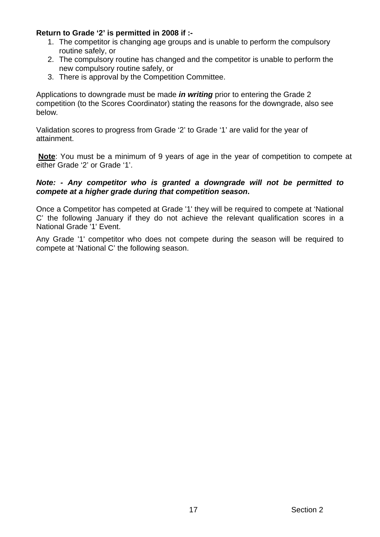#### **Return to Grade '2' is permitted in 2008 if :-**

- 1. The competitor is changing age groups and is unable to perform the compulsory routine safely, or
- 2. The compulsory routine has changed and the competitor is unable to perform the new compulsory routine safely, or
- 3. There is approval by the Competition Committee.

Applications to downgrade must be made *in writing* prior to entering the Grade 2 competition (to the Scores Coordinator) stating the reasons for the downgrade, also see below*.* 

Validation scores to progress from Grade '2' to Grade '1' are valid for the year of attainment.

**Note**: You must be a minimum of 9 years of age in the year of competition to compete at either Grade '2' or Grade '1'.

#### *Note: - Any competitor who is granted a downgrade will not be permitted to compete at a higher grade during that competition season***.**

Once a Competitor has competed at Grade '1' they will be required to compete at 'National C' the following January if they do not achieve the relevant qualification scores in a National Grade '1' Event.

Any Grade '1' competitor who does not compete during the season will be required to compete at 'National C' the following season.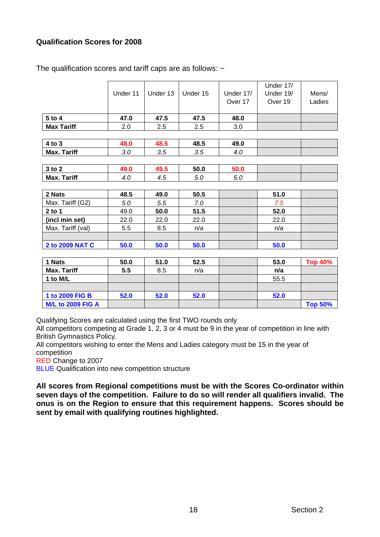# **Qualification Scores for 2008**

|                    | Under 11 | Under 13 | Under 15 | Under 17/<br>Over 17 | Under 17/<br>Under 19/<br>Over 19 | Mens/<br>Ladies |
|--------------------|----------|----------|----------|----------------------|-----------------------------------|-----------------|
| 5 to 4             | 47.0     | 47.5     | 47.5     | 48.0                 |                                   |                 |
| <b>Max Tariff</b>  | 2.0      | 2.5      | 2.5      | 3.0                  |                                   |                 |
|                    |          |          |          |                      |                                   |                 |
| 4 to 3             | 48.0     | 48.5     | 48.5     | 49.0                 |                                   |                 |
| <b>Max. Tariff</b> | 3.0      | 3.5      | 3.5      | 4.0                  |                                   |                 |
|                    |          |          |          |                      |                                   |                 |
| 3 to 2             | 49.0     | 49.5     | 50.0     | 50.0                 |                                   |                 |
| <b>Max. Tariff</b> | 4.0      | 4.5      | 5.0      | 5.0                  |                                   |                 |
|                    |          |          |          |                      |                                   |                 |
| 2 Nats             | 48.5     | 49.0     | 50.5     |                      | 51.0                              |                 |
| Max. Tariff (G2)   | 5.0      | 5.5      | 7.0      |                      | 7.5                               |                 |
| $2$ to 1           | 49.0     | 50.0     | 51.5     |                      | 52.0                              |                 |
| (incl min set)     | 22.0     | 22.0     | 22.0     |                      | 22.0                              |                 |
| Max. Tariff (val)  | 5.5      | 8.5      | n/a      |                      | n/a                               |                 |
|                    |          |          |          |                      |                                   |                 |
| 2 to 2009 NAT C    | 50.0     | 50.0     | 50.0     |                      | 50.0                              |                 |
|                    |          |          |          |                      |                                   |                 |

The qualification scores and tariff caps are as follows:  $\sim$ 

| 1 Nats                   | 50.0 | 51.0 | 52.5 | 53.0 | <b>Top 40%</b> |
|--------------------------|------|------|------|------|----------------|
| <b>Max. Tariff</b>       | 5.5  | 8.5  | n/a  | n/a  |                |
| 1 to M/L                 |      |      |      | 55.5 |                |
|                          |      |      |      |      |                |
| 1 to 2009 FIG B          | 52.0 | 52.0 | 52.0 | 52.0 |                |
| <b>M/L to 2009 FIG A</b> |      |      |      |      | <b>Top 50%</b> |

Qualifying Scores are calculated using the first TWO rounds only

All competitors competing at Grade 1, 2, 3 or 4 must be 9 in the year of competition in line with British Gymnastics Policy.

All competitors wishing to enter the Mens and Ladies category must be 15 in the year of competition

RED Change to 2007

**BLUE** Qualification into new competition structure

**All scores from Regional competitions must be with the Scores Co-ordinator within seven days of the competition. Failure to do so will render all qualifiers invalid. The onus is on the Region to ensure that this requirement happens. Scores should be sent by email with qualifying routines highlighted.**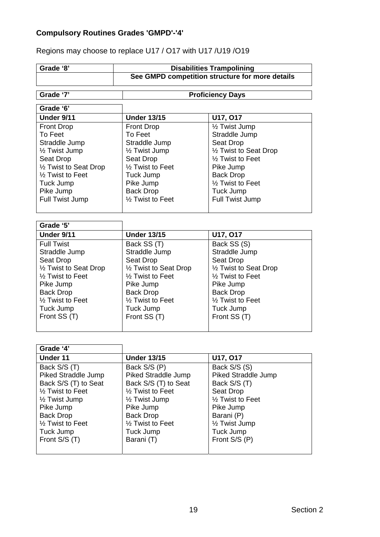# **Compulsory Routines Grades 'GMPD'-'4'**

Regions may choose to replace U17 / O17 with U17 /U19 /O19

| Grade '8'                     | <b>Disabilities Trampolining</b>                  |                                     |  |  |  |
|-------------------------------|---------------------------------------------------|-------------------------------------|--|--|--|
|                               | See GMPD competition structure for more details   |                                     |  |  |  |
|                               |                                                   |                                     |  |  |  |
| Grade '7'                     |                                                   | <b>Proficiency Days</b>             |  |  |  |
| Grade '6'                     |                                                   |                                     |  |  |  |
| Under 9/11                    | <b>Under 13/15</b>                                | U17, 017                            |  |  |  |
| <b>Front Drop</b>             | <b>Front Drop</b>                                 | 1/2 Twist Jump                      |  |  |  |
| To Feet                       | To Feet                                           | Straddle Jump                       |  |  |  |
| Straddle Jump                 | Straddle Jump                                     | Seat Drop                           |  |  |  |
| 1/2 Twist Jump                | 1/ <sub>2</sub> Twist Jump                        | 1/2 Twist to Seat Drop              |  |  |  |
| Seat Drop                     | Seat Drop                                         | 1/ <sub>2</sub> Twist to Feet       |  |  |  |
| 1/2 Twist to Seat Drop        | 1/ <sub>2</sub> Twist to Feet                     | Pike Jump                           |  |  |  |
| 1/ <sub>2</sub> Twist to Feet | Tuck Jump                                         | <b>Back Drop</b>                    |  |  |  |
| Tuck Jump                     | Pike Jump                                         | 1/ <sub>2</sub> Twist to Feet       |  |  |  |
| Pike Jump                     |                                                   |                                     |  |  |  |
|                               | <b>Back Drop</b><br>1/ <sub>2</sub> Twist to Feet | Tuck Jump<br><b>Full Twist Jump</b> |  |  |  |
| Full Twist Jump               |                                                   |                                     |  |  |  |
|                               |                                                   |                                     |  |  |  |
| Grade '5'                     |                                                   |                                     |  |  |  |
| Under 9/11                    | <b>Under 13/15</b>                                | U17, 017                            |  |  |  |
| <b>Full Twist</b>             | Back SS (T)                                       | Back SS (S)                         |  |  |  |
| Straddle Jump                 | Straddle Jump                                     | Straddle Jump                       |  |  |  |
| Seat Drop                     | Seat Drop                                         | Seat Drop                           |  |  |  |
| 1/2 Twist to Seat Drop        | 1/2 Twist to Seat Drop                            | 1/2 Twist to Seat Drop              |  |  |  |
| 1/2 Twist to Feet             | 1/ <sub>2</sub> Twist to Feet                     | 1/ <sub>2</sub> Twist to Feet       |  |  |  |
| Pike Jump                     | Pike Jump                                         | Pike Jump                           |  |  |  |
| <b>Back Drop</b>              | <b>Back Drop</b>                                  | <b>Back Drop</b>                    |  |  |  |
| 1/2 Twist to Feet             | 1/ <sub>2</sub> Twist to Feet                     | 1/ <sub>2</sub> Twist to Feet       |  |  |  |
| Tuck Jump                     | Tuck Jump                                         | Tuck Jump                           |  |  |  |
| Front SS (T)                  | Front SS (T)                                      | Front SS (T)                        |  |  |  |
|                               |                                                   |                                     |  |  |  |
|                               |                                                   |                                     |  |  |  |
| Grade '4'                     |                                                   |                                     |  |  |  |
| <b>Under 11</b>               | <b>Under 13/15</b>                                | U17, 017                            |  |  |  |
| Back S/S (T)                  | Back S/S (P)                                      | Back S/S (S)                        |  |  |  |
| <b>Piked Straddle Jump</b>    | <b>Piked Straddle Jump</b>                        | Piked Straddle Jump                 |  |  |  |
| Back S/S (T) to Seat          | Back S/S (T) to Seat                              | Back S/S (T)                        |  |  |  |
| 1/ <sub>2</sub> Twist to Feet | 1/ <sub>2</sub> Twist to Feet                     | Seat Drop                           |  |  |  |
| 1/ <sub>2</sub> Twist Jump    | 1/ <sub>2</sub> Twist Jump                        | 1/2 Twist to Feet                   |  |  |  |
| Pike Jump                     | Pike Jump                                         | Pike Jump                           |  |  |  |
| <b>Back Drop</b>              | <b>Back Drop</b>                                  | Barani (P)                          |  |  |  |
| 1/ <sub>2</sub> Twist to Feet | 1/2 Twist to Feet                                 | 1/ <sub>2</sub> Twist Jump          |  |  |  |
| Tuck Jump                     | Tuck Jump                                         | Tuck Jump                           |  |  |  |
| Front S/S (T)                 | Barani (T)                                        | Front S/S (P)                       |  |  |  |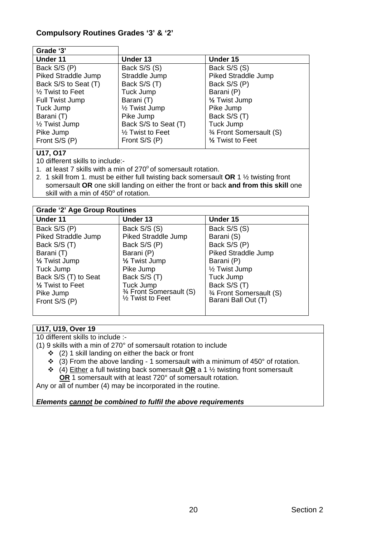# **Compulsory Routines Grades '3' & '2'**

| Grade '3'                     |                               |                            |
|-------------------------------|-------------------------------|----------------------------|
| Under 11                      | Under 13                      | Under 15                   |
| Back S/S (P)                  | Back S/S (S)                  | Back S/S (S)               |
| Piked Straddle Jump           | Straddle Jump                 | <b>Piked Straddle Jump</b> |
| Back S/S to Seat (T)          | Back S/S (T)                  | Back S/S (P)               |
| 1/ <sub>2</sub> Twist to Feet | Tuck Jump                     | Barani (P)                 |
| Full Twist Jump               | Barani (T)                    | 1/ <sub>2</sub> Twist Jump |
| Tuck Jump                     | 1/ <sub>2</sub> Twist Jump    | Pike Jump                  |
| Barani (T)                    | Pike Jump                     | Back S/S (T)               |
| 1/2 Twist Jump                | Back S/S to Seat (T)          | Tuck Jump                  |
| Pike Jump                     | 1/ <sub>2</sub> Twist to Feet | 3⁄4 Front Somersault (S)   |
| Front S/S (P)                 | Front S/S (P)                 | 1/2 Twist to Feet          |
|                               |                               |                            |

# **U17, O17**

10 different skills to include:-

- 1. at least 7 skills with a min of  $270^{\circ}$  of somersault rotation.
- 2. 1 skill from 1. must be either full twisting back somersault **OR** 1 ½ twisting front somersault **OR** one skill landing on either the front or back **and from this skill** one skill with a min of  $450^{\circ}$  of rotation.

| <b>Grade '2' Age Group Routines</b> |                            |                            |  |  |  |
|-------------------------------------|----------------------------|----------------------------|--|--|--|
| Under 11                            | Under 13                   | Under 15                   |  |  |  |
| Back S/S (P)                        | Back S/S (S)               | Back S/S (S)               |  |  |  |
| Piked Straddle Jump                 | Piked Straddle Jump        | Barani (S)                 |  |  |  |
| Back S/S (T)                        | Back S/S (P)               | Back S/S (P)               |  |  |  |
| Barani (T)                          | Barani (P)                 | <b>Piked Straddle Jump</b> |  |  |  |
| 1/ <sub>2</sub> Twist Jump          | 1/ <sub>2</sub> Twist Jump | Barani (P)                 |  |  |  |
| Tuck Jump                           | Pike Jump                  | 1/ <sub>2</sub> Twist Jump |  |  |  |
| Back S/S (T) to Seat                | Back S/S (T)               | Tuck Jump                  |  |  |  |
| 1/2 Twist to Feet                   | Tuck Jump                  | Back S/S (T)               |  |  |  |
| Pike Jump                           | 3⁄4 Front Somersault (S)   | 3⁄4 Front Somersault (S)   |  |  |  |
| Front S/S (P)                       | 1/2 Twist to Feet          | Barani Ball Out (T)        |  |  |  |
|                                     |                            |                            |  |  |  |

#### **U17, U19, Over 19**

10 different skills to include :-

(1) 9 skills with a min of 270° of somersault rotation to include

- $\div$  (2) 1 skill landing on either the back or front
- $\div$  (3) From the above landing 1 somersault with a minimum of 450° of rotation.
- (4) Either a full twisting back somersault **OR** a 1 ½ twisting front somersault  **OR** 1 somersault with at least 720° of somersault rotation.

Any or all of number (4) may be incorporated in the routine.

*Elements cannot be combined to fulfil the above requirements*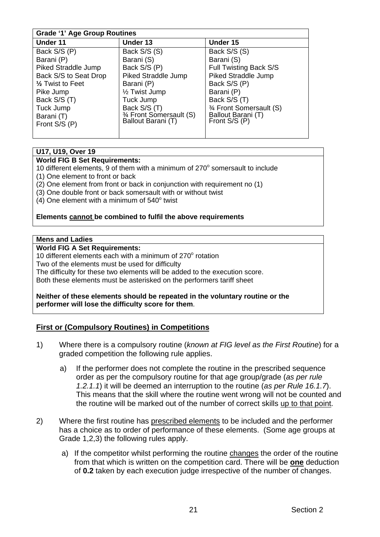# **Grade '1' Age Group Routines**

| $-1.49$                     |                            |                          |  |  |  |
|-----------------------------|----------------------------|--------------------------|--|--|--|
| Under 11                    | Under 13                   | Under 15                 |  |  |  |
| Back S/S (P)                | Back S/S (S)               | Back S/S (S)             |  |  |  |
| Barani (P)                  | Barani (S)                 | Barani (S)               |  |  |  |
| Piked Straddle Jump         | Back S/S (P)               | Full Twisting Back S/S   |  |  |  |
| Back S/S to Seat Drop       | <b>Piked Straddle Jump</b> | Piked Straddle Jump      |  |  |  |
| $\frac{1}{2}$ Twist to Feet | Barani (P)                 | Back S/S (P)             |  |  |  |
| Pike Jump                   | 1/2 Twist Jump             | Barani (P)               |  |  |  |
| Back S/S (T)                | Tuck Jump                  | Back S/S (T)             |  |  |  |
| Tuck Jump                   | Back S/S (T)               | 3⁄4 Front Somersault (S) |  |  |  |
| Barani (T)                  | 3⁄4 Front Somersault (S)   | Ballout Barani (T)       |  |  |  |
| Front S/S (P)               | Ballout Barani (T)         | Front S/S (P)            |  |  |  |
|                             |                            |                          |  |  |  |

# **U17, U19, Over 19**

#### **World FIG B Set Requirements:**

10 different elements, 9 of them with a minimum of  $270^{\circ}$  somersault to include (1) One element to front or back

- (2) One element from front or back in conjunction with requirement no (1)
- (3) One double front or back somersault with or without twist
- $(4)$  One element with a minimum of  $540^{\circ}$  twist

#### **Elements cannot be combined to fulfil the above requirements**

#### **Mens and Ladies**

#### **World FIG A Set Requirements:**

10 different elements each with a minimum of  $270^\circ$  rotation

Two of the elements must be used for difficulty

The difficulty for these two elements will be added to the execution score.

Both these elements must be asterisked on the performers tariff sheet

#### **Neither of these elements should be repeated in the voluntary routine or the performer will lose the difficulty score for them**.

#### **First or (Compulsory Routines) in Competitions**

- 1) Where there is a compulsory routine (*known at FIG level as the First Routine*) for a graded competition the following rule applies.
	- a) If the performer does not complete the routine in the prescribed sequence order as per the compulsory routine for that age group/grade (*as per rule 1.2.1.1*) it will be deemed an interruption to the routine (*as per Rule 16.1.7*). This means that the skill where the routine went wrong will not be counted and the routine will be marked out of the number of correct skills up to that point.
- 2) Where the first routine has prescribed elements to be included and the performer has a choice as to order of performance of these elements. (Some age groups at Grade 1,2,3) the following rules apply.
	- a) If the competitor whilst performing the routine changes the order of the routine from that which is written on the competition card. There will be **one** deduction of **0.2** taken by each execution judge irrespective of the number of changes.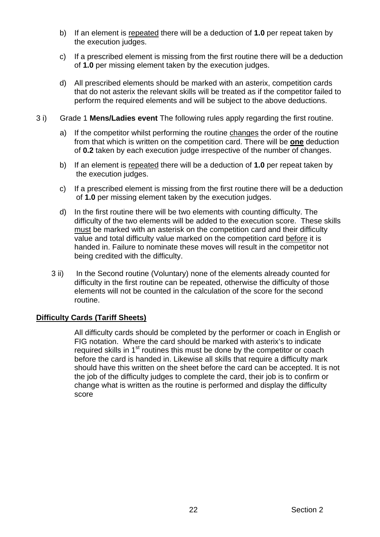- b) If an element is repeated there will be a deduction of **1.0** per repeat taken by the execution judges.
- c) If a prescribed element is missing from the first routine there will be a deduction of **1.0** per missing element taken by the execution judges.
- d) All prescribed elements should be marked with an asterix, competition cards that do not asterix the relevant skills will be treated as if the competitor failed to perform the required elements and will be subject to the above deductions.
- 3 i) Grade 1 **Mens/Ladies event** The following rules apply regarding the first routine.
	- a) If the competitor whilst performing the routine changes the order of the routine from that which is written on the competition card. There will be **one** deduction of **0.2** taken by each execution judge irrespective of the number of changes.
	- b) If an element is repeated there will be a deduction of **1.0** per repeat taken by the execution judges.
	- c) If a prescribed element is missing from the first routine there will be a deduction of **1.0** per missing element taken by the execution judges.
	- d) In the first routine there will be two elements with counting difficulty. The difficulty of the two elements will be added to the execution score. These skills must be marked with an asterisk on the competition card and their difficulty value and total difficulty value marked on the competition card before it is handed in. Failure to nominate these moves will result in the competitor not being credited with the difficulty.
	- 3 ii) In the Second routine (Voluntary) none of the elements already counted for difficulty in the first routine can be repeated, otherwise the difficulty of those elements will not be counted in the calculation of the score for the second routine.

#### **Difficulty Cards (Tariff Sheets)**

 All difficulty cards should be completed by the performer or coach in English or FIG notation. Where the card should be marked with asterix's to indicate required skills in 1<sup>st</sup> routines this must be done by the competitor or coach before the card is handed in. Likewise all skills that require a difficulty mark should have this written on the sheet before the card can be accepted. It is not the job of the difficulty judges to complete the card, their job is to confirm or change what is written as the routine is performed and display the difficulty score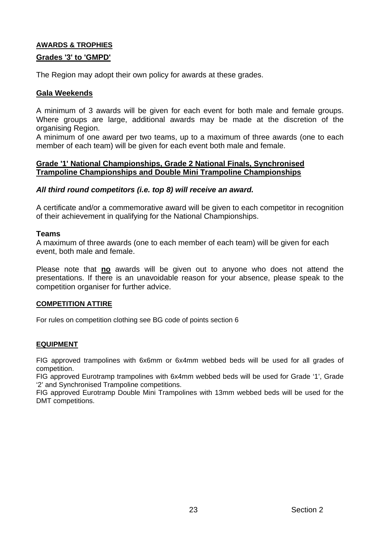# **AWARDS & TROPHIES**

#### **Grades '3' to 'GMPD'**

The Region may adopt their own policy for awards at these grades.

#### **Gala Weekends**

A minimum of 3 awards will be given for each event for both male and female groups. Where groups are large, additional awards may be made at the discretion of the organising Region.

A minimum of one award per two teams, up to a maximum of three awards (one to each member of each team) will be given for each event both male and female.

#### **Grade '1' National Championships, Grade 2 National Finals, Synchronised Trampoline Championships and Double Mini Trampoline Championships**

#### *All third round competitors (i.e. top 8) will receive an award.*

A certificate and/or a commemorative award will be given to each competitor in recognition of their achievement in qualifying for the National Championships.

#### **Teams**

A maximum of three awards (one to each member of each team) will be given for each event, both male and female.

Please note that **no** awards will be given out to anyone who does not attend the presentations. If there is an unavoidable reason for your absence, please speak to the competition organiser for further advice.

#### **COMPETITION ATTIRE**

For rules on competition clothing see BG code of points section 6

#### **EQUIPMENT**

FIG approved trampolines with 6x6mm or 6x4mm webbed beds will be used for all grades of competition.

FIG approved Eurotramp trampolines with 6x4mm webbed beds will be used for Grade '1', Grade '2' and Synchronised Trampoline competitions.

FIG approved Eurotramp Double Mini Trampolines with 13mm webbed beds will be used for the DMT competitions.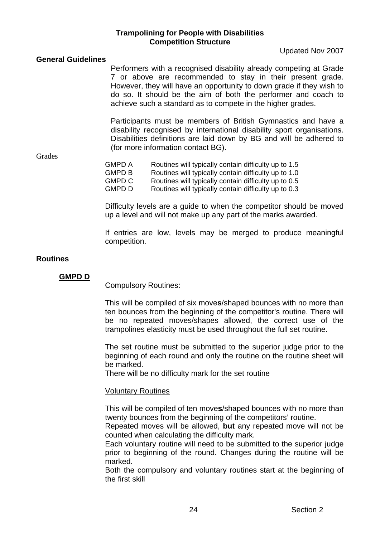#### **Trampolining for People with Disabilities Competition Structure**

Updated Nov 2007

#### **General Guidelines**

Performers with a recognised disability already competing at Grade 7 or above are recommended to stay in their present grade. However, they will have an opportunity to down grade if they wish to do so. It should be the aim of both the performer and coach to achieve such a standard as to compete in the higher grades.

Participants must be members of British Gymnastics and have a disability recognised by international disability sport organisations. Disabilities definitions are laid down by BG and will be adhered to (for more information contact BG).

**Grades** 

| GMPD A | Routines will typically contain difficulty up to 1.5 |
|--------|------------------------------------------------------|
| GMPD B | Routines will typically contain difficulty up to 1.0 |
| GMPD C | Routines will typically contain difficulty up to 0.5 |
| GMPD D | Routines will typically contain difficulty up to 0.3 |

Difficulty levels are a guide to when the competitor should be moved up a level and will not make up any part of the marks awarded.

If entries are low, levels may be merged to produce meaningful competition.

#### **Routines**

#### **GMPD D**

#### Compulsory Routines:

This will be compiled of six move**s**/shaped bounces with no more than ten bounces from the beginning of the competitor's routine. There will be no repeated moves/shapes allowed, the correct use of the trampolines elasticity must be used throughout the full set routine.

The set routine must be submitted to the superior judge prior to the beginning of each round and only the routine on the routine sheet will be marked.

There will be no difficulty mark for the set routine

#### Voluntary Routines

This will be compiled of ten move**s**/shaped bounces with no more than twenty bounces from the beginning of the competitors' routine.

Repeated moves will be allowed, **but** any repeated move will not be counted when calculating the difficulty mark.

Each voluntary routine will need to be submitted to the superior judge prior to beginning of the round. Changes during the routine will be marked.

Both the compulsory and voluntary routines start at the beginning of the first skill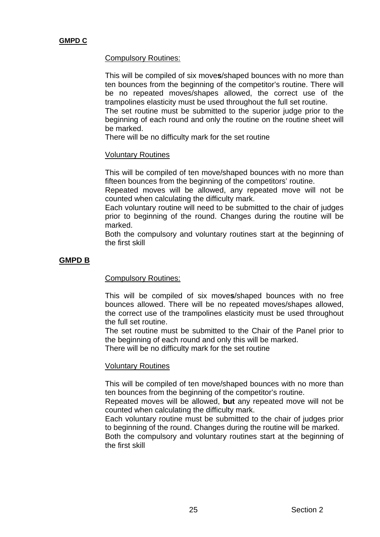#### Compulsory Routines:

This will be compiled of six move**s**/shaped bounces with no more than ten bounces from the beginning of the competitor's routine. There will be no repeated moves/shapes allowed, the correct use of the trampolines elasticity must be used throughout the full set routine.

The set routine must be submitted to the superior judge prior to the beginning of each round and only the routine on the routine sheet will be marked.

There will be no difficulty mark for the set routine

#### Voluntary Routines

This will be compiled of ten move/shaped bounces with no more than fifteen bounces from the beginning of the competitors' routine.

Repeated moves will be allowed, any repeated move will not be counted when calculating the difficulty mark.

Each voluntary routine will need to be submitted to the chair of judges prior to beginning of the round. Changes during the routine will be marked.

Both the compulsory and voluntary routines start at the beginning of the first skill

# **GMPD B**

#### Compulsory Routines:

This will be compiled of six move**s**/shaped bounces with no free bounces allowed. There will be no repeated moves/shapes allowed, the correct use of the trampolines elasticity must be used throughout the full set routine.

The set routine must be submitted to the Chair of the Panel prior to the beginning of each round and only this will be marked.

There will be no difficulty mark for the set routine

#### Voluntary Routines

This will be compiled of ten move/shaped bounces with no more than ten bounces from the beginning of the competitor's routine.

Repeated moves will be allowed, **but** any repeated move will not be counted when calculating the difficulty mark.

Each voluntary routine must be submitted to the chair of judges prior to beginning of the round. Changes during the routine will be marked.

Both the compulsory and voluntary routines start at the beginning of the first skill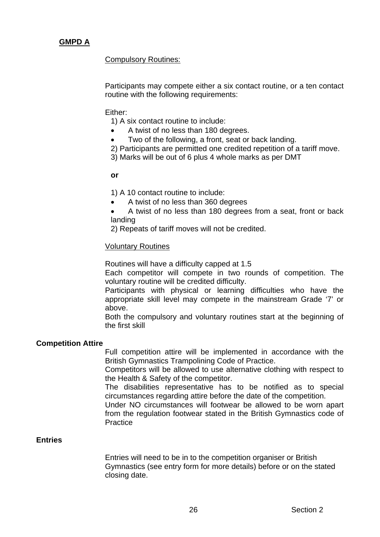# **GMPD A**

Compulsory Routines:

Participants may compete either a six contact routine, or a ten contact routine with the following requirements:

#### Either:

1) A six contact routine to include:

- A twist of no less than 180 degrees.
- Two of the following, a front, seat or back landing.
- 2) Participants are permitted one credited repetition of a tariff move.
- 3) Marks will be out of 6 plus 4 whole marks as per DMT

#### **or**

1) A 10 contact routine to include:

- A twist of no less than 360 degrees
- A twist of no less than 180 degrees from a seat, front or back landing
- 2) Repeats of tariff moves will not be credited.

#### Voluntary Routines

Routines will have a difficulty capped at 1.5

Each competitor will compete in two rounds of competition. The voluntary routine will be credited difficulty.

Participants with physical or learning difficulties who have the appropriate skill level may compete in the mainstream Grade '7' or above.

Both the compulsory and voluntary routines start at the beginning of the first skill

#### **Competition Attire**

Full competition attire will be implemented in accordance with the British Gymnastics Trampolining Code of Practice.

Competitors will be allowed to use alternative clothing with respect to the Health & Safety of the competitor.

The disabilities representative has to be notified as to special circumstances regarding attire before the date of the competition.

Under NO circumstances will footwear be allowed to be worn apart from the regulation footwear stated in the British Gymnastics code of **Practice** 

#### **Entries**

Entries will need to be in to the competition organiser or British Gymnastics (see entry form for more details) before or on the stated closing date.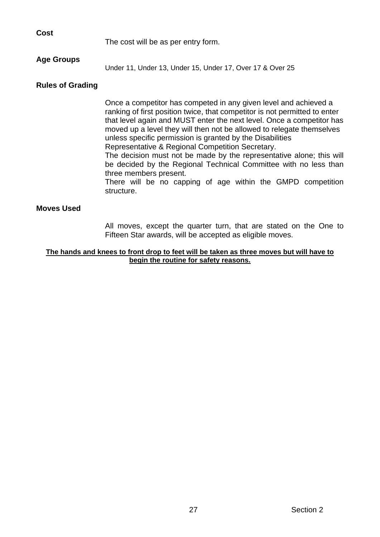| <b>Cost</b> |            |
|-------------|------------|
|             | The cost v |

will be as per entry form.

# **Age Groups**

Under 11, Under 13, Under 15, Under 17, Over 17 & Over 25

#### **Rules of Grading**

Once a competitor has competed in any given level and achieved a ranking of first position twice, that competitor is not permitted to enter that level again and MUST enter the next level. Once a competitor has moved up a level they will then not be allowed to relegate themselves unless specific permission is granted by the Disabilities Representative & Regional Competition Secretary.

The decision must not be made by the representative alone; this will be decided by the Regional Technical Committee with no less than three members present.

There will be no capping of age within the GMPD competition structure.

#### **Moves Used**

All moves, except the quarter turn, that are stated on the One to Fifteen Star awards, will be accepted as eligible moves.

#### **The hands and knees to front drop to feet will be taken as three moves but will have to begin the routine for safety reasons.**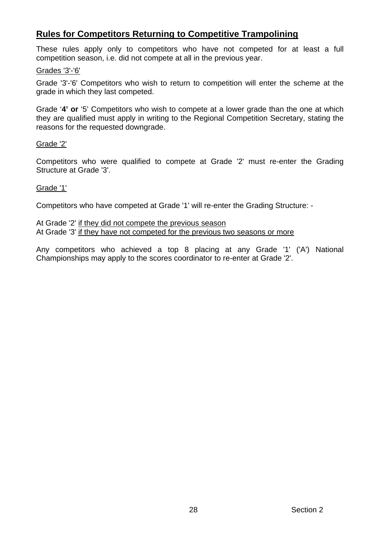# **Rules for Competitors Returning to Competitive Trampolining**

These rules apply only to competitors who have not competed for at least a full competition season, i.e. did not compete at all in the previous year.

#### Grades '3'-'6'

Grade '3'-'6' Competitors who wish to return to competition will enter the scheme at the grade in which they last competed.

Grade '**4' or** '5' Competitors who wish to compete at a lower grade than the one at which they are qualified must apply in writing to the Regional Competition Secretary, stating the reasons for the requested downgrade.

#### Grade '2'

Competitors who were qualified to compete at Grade '2' must re-enter the Grading Structure at Grade '3'.

#### Grade '1'

Competitors who have competed at Grade '1' will re-enter the Grading Structure: -

At Grade '2' if they did not compete the previous season At Grade '3' if they have not competed for the previous two seasons or more

Any competitors who achieved a top 8 placing at any Grade '1' ('A') National Championships may apply to the scores coordinator to re-enter at Grade '2'.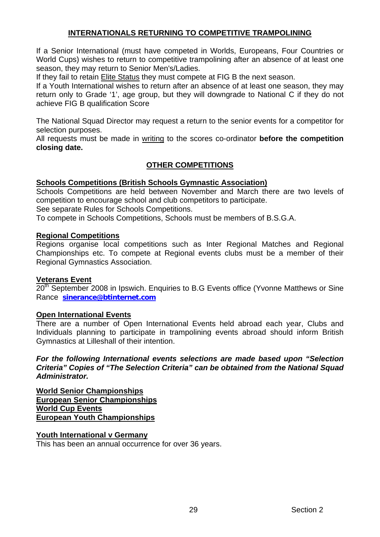#### **INTERNATIONALS RETURNING TO COMPETITIVE TRAMPOLINING**

If a Senior International (must have competed in Worlds, Europeans, Four Countries or World Cups) wishes to return to competitive trampolining after an absence of at least one season, they may return to Senior Men's/Ladies.

If they fail to retain Elite Status they must compete at FIG B the next season.

If a Youth International wishes to return after an absence of at least one season, they may return only to Grade '1', age group, but they will downgrade to National C if they do not achieve FIG B qualification Score

The National Squad Director may request a return to the senior events for a competitor for selection purposes.

All requests must be made in writing to the scores co-ordinator **before the competition closing date.**

# **OTHER COMPETITIONS**

#### **Schools Competitions (British Schools Gymnastic Association)**

Schools Competitions are held between November and March there are two levels of competition to encourage school and club competitors to participate.

See separate Rules for Schools Competitions.

To compete in Schools Competitions, Schools must be members of B.S.G.A.

#### **Regional Competitions**

Regions organise local competitions such as Inter Regional Matches and Regional Championships etc. To compete at Regional events clubs must be a member of their Regional Gymnastics Association.

#### **Veterans Event**

20<sup>th</sup> September 2008 in Ipswich. Enquiries to B.G Events office (Yvonne Matthews or Sine Rance **[sinerance@btinternet.com](mailto:sinerance@btinternet.com)**

#### **Open International Events**

There are a number of Open International Events held abroad each year, Clubs and Individuals planning to participate in trampolining events abroad should inform British Gymnastics at Lilleshall of their intention.

*For the following International events selections are made based upon "Selection Criteria" Copies of "The Selection Criteria" can be obtained from the National Squad Administrator.* 

**World Senior Championships European Senior Championships World Cup Events European Youth Championships**

#### **Youth International v Germany**

This has been an annual occurrence for over 36 years.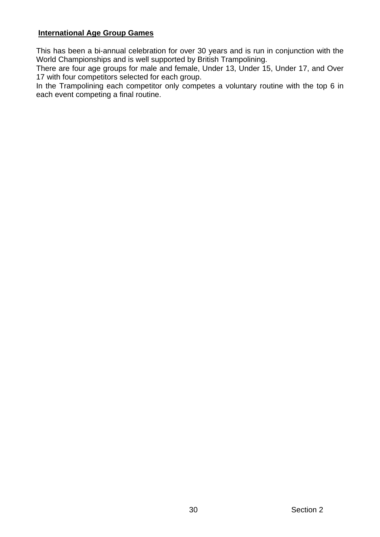# **International Age Group Games**

This has been a bi-annual celebration for over 30 years and is run in conjunction with the World Championships and is well supported by British Trampolining.

There are four age groups for male and female, Under 13, Under 15, Under 17, and Over 17 with four competitors selected for each group.

In the Trampolining each competitor only competes a voluntary routine with the top 6 in each event competing a final routine.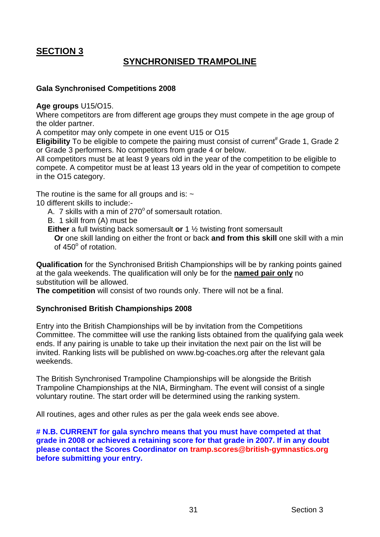# **SECTION 3**

# **SYNCHRONISED TRAMPOLINE**

#### **Gala Synchronised Competitions 2008**

#### **Age groups** U15/O15.

Where competitors are from different age groups they must compete in the age group of the older partner.

A competitor may only compete in one event U15 or O15

**Eligibility** To be eligible to compete the pairing must consist of current<sup>#</sup> Grade 1, Grade 2 or Grade 3 performers. No competitors from grade 4 or below.

All competitors must be at least 9 years old in the year of the competition to be eligible to compete. A competitor must be at least 13 years old in the year of competition to compete in the O15 category.

The routine is the same for all groups and is:  $\sim$ 

10 different skills to include:-

- A. 7 skills with a min of  $270^{\circ}$  of somersault rotation.
- B. 1 skill from (A) must be
- **Either** a full twisting back somersault **or** 1 ½ twisting front somersault

**Or** one skill landing on either the front or back **and from this skill** one skill with a min of 450° of rotation.

**Qualification** for the Synchronised British Championships will be by ranking points gained at the gala weekends. The qualification will only be for the **named pair only** no substitution will be allowed.

**The competition** will consist of two rounds only. There will not be a final.

#### **Synchronised British Championships 2008**

Entry into the British Championships will be by invitation from the Competitions Committee. The committee will use the ranking lists obtained from the qualifying gala week ends. If any pairing is unable to take up their invitation the next pair on the list will be invited. Ranking lists will be published on www.bg-coaches.org after the relevant gala weekends.

The British Synchronised Trampoline Championships will be alongside the British Trampoline Championships at the NIA, Birmingham. The event will consist of a single voluntary routine. The start order will be determined using the ranking system.

All routines, ages and other rules as per the gala week ends see above.

**# N.B. CURRENT for gala synchro means that you must have competed at that grade in 2008 or achieved a retaining score for that grade in 2007. If in any doubt please contact the Scores Coordinator on tramp.scores@british-gymnastics.org before submitting your entry.**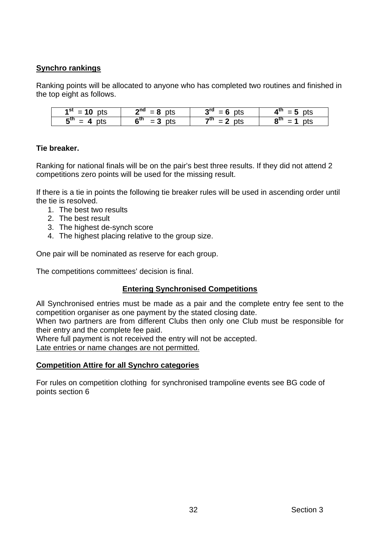# **Synchro rankings**

Ranking points will be allocated to anyone who has completed two routines and finished in the top eight as follows.

| 4 St<br>$= 10$<br>pts     | $2^{nd}$ = 8 pts             | ാന<br>pts                     | $A^{\text{th}}$<br>pts<br>= 5 |
|---------------------------|------------------------------|-------------------------------|-------------------------------|
| $5^{\rm m}$<br>pts<br>$=$ | 6 <sup>th</sup><br>$= 3$ pts | $7^{\text{th}} = 2$ by<br>nte | $8^{\rm m}$<br>ots            |

# **Tie breaker.**

Ranking for national finals will be on the pair's best three results. If they did not attend 2 competitions zero points will be used for the missing result.

If there is a tie in points the following tie breaker rules will be used in ascending order until the tie is resolved.

- 1. The best two results
- 2. The best result
- 3. The highest de-synch score
- 4. The highest placing relative to the group size.

One pair will be nominated as reserve for each group.

The competitions committees' decision is final.

# **Entering Synchronised Competitions**

All Synchronised entries must be made as a pair and the complete entry fee sent to the competition organiser as one payment by the stated closing date.

When two partners are from different Clubs then only one Club must be responsible for their entry and the complete fee paid.

Where full payment is not received the entry will not be accepted.

Late entries or name changes are not permitted.

#### **Competition Attire for all Synchro categories**

For rules on competition clothing for synchronised trampoline events see BG code of points section 6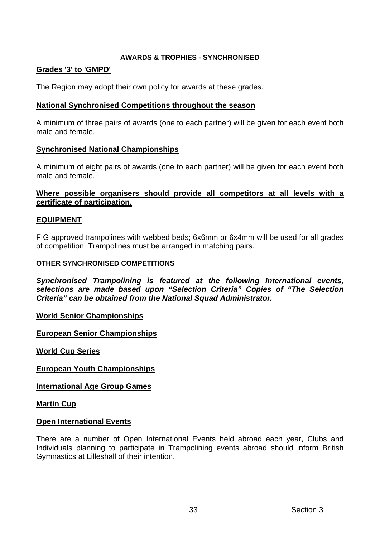#### **AWARDS & TROPHIES - SYNCHRONISED**

#### **Grades '3' to 'GMPD'**

The Region may adopt their own policy for awards at these grades.

#### **National Synchronised Competitions throughout the season**

A minimum of three pairs of awards (one to each partner) will be given for each event both male and female.

# **Synchronised National Championships**

A minimum of eight pairs of awards (one to each partner) will be given for each event both male and female.

#### **Where possible organisers should provide all competitors at all levels with a certificate of participation.**

# **EQUIPMENT**

FIG approved trampolines with webbed beds; 6x6mm or 6x4mm will be used for all grades of competition. Trampolines must be arranged in matching pairs.

#### **OTHER SYNCHRONISED COMPETITIONS**

*Synchronised Trampolining is featured at the following International events, selections are made based upon "Selection Criteria" Copies of "The Selection Criteria" can be obtained from the National Squad Administrator.* 

**World Senior Championships**

**European Senior Championships**

**World Cup Series**

**European Youth Championships**

**International Age Group Games**

**Martin Cup**

#### **Open International Events**

There are a number of Open International Events held abroad each year, Clubs and Individuals planning to participate in Trampolining events abroad should inform British Gymnastics at Lilleshall of their intention.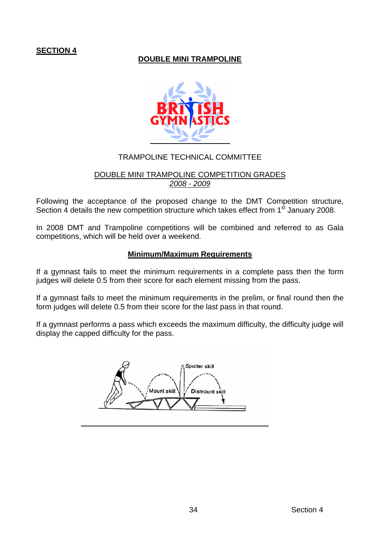# **SECTION 4**

# **DOUBLE MINI TRAMPOLINE**



# TRAMPOLINE TECHNICAL COMMITTEE

#### DOUBLE MINI TRAMPOLINE COMPETITION GRADES *2008 - 2009*

Following the acceptance of the proposed change to the DMT Competition structure, Section 4 details the new competition structure which takes effect from 1<sup>st</sup> January 2008.

In 2008 DMT and Trampoline competitions will be combined and referred to as Gala competitions, which will be held over a weekend.

#### **Minimum/Maximum Requirements**

If a gymnast fails to meet the minimum requirements in a complete pass then the form judges will delete 0.5 from their score for each element missing from the pass.

If a gymnast fails to meet the minimum requirements in the prelim, or final round then the form judges will delete 0.5 from their score for the last pass in that round.

If a gymnast performs a pass which exceeds the maximum difficulty, the difficulty judge will display the capped difficulty for the pass.

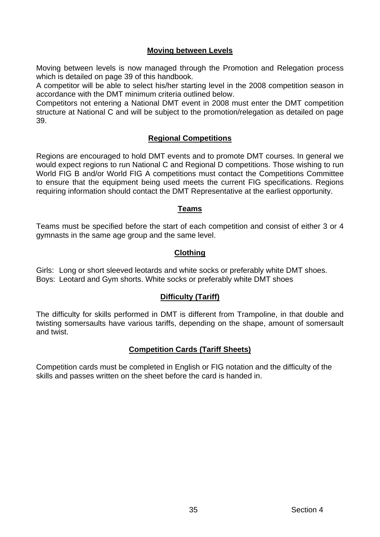# **Moving between Levels**

Moving between levels is now managed through the Promotion and Relegation process which is detailed on page 39 of this handbook.

A competitor will be able to select his/her starting level in the 2008 competition season in accordance with the DMT minimum criteria outlined below.

Competitors not entering a National DMT event in 2008 must enter the DMT competition structure at National C and will be subject to the promotion/relegation as detailed on page 39.

# **Regional Competitions**

Regions are encouraged to hold DMT events and to promote DMT courses. In general we would expect regions to run National C and Regional D competitions. Those wishing to run World FIG B and/or World FIG A competitions must contact the Competitions Committee to ensure that the equipment being used meets the current FIG specifications. Regions requiring information should contact the DMT Representative at the earliest opportunity.

#### **Teams**

Teams must be specified before the start of each competition and consist of either 3 or 4 gymnasts in the same age group and the same level.

#### **Clothing**

Girls: Long or short sleeved leotards and white socks or preferably white DMT shoes. Boys: Leotard and Gym shorts. White socks or preferably white DMT shoes

#### **Difficulty (Tariff)**

The difficulty for skills performed in DMT is different from Trampoline, in that double and twisting somersaults have various tariffs, depending on the shape, amount of somersault and twist.

# **Competition Cards (Tariff Sheets)**

Competition cards must be completed in English or FIG notation and the difficulty of the skills and passes written on the sheet before the card is handed in.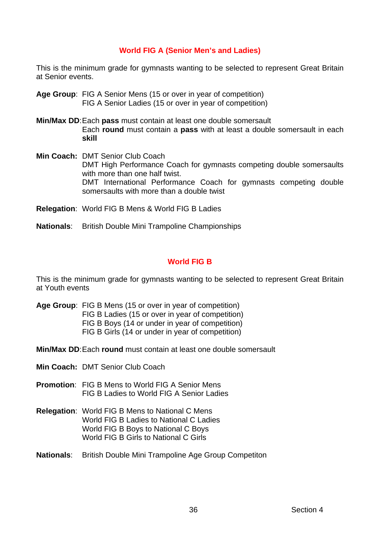# **World FIG A (Senior Men's and Ladies)**

This is the minimum grade for gymnasts wanting to be selected to represent Great Britain at Senior events.

- **Age Group**: FIG A Senior Mens (15 or over in year of competition) FIG A Senior Ladies (15 or over in year of competition)
- **Min/Max DD**: Each **pass** must contain at least one double somersault Each **round** must contain a **pass** with at least a double somersault in each **skill**
- **Min Coach:** DMT Senior Club Coach DMT High Performance Coach for gymnasts competing double somersaults with more than one half twist. DMT International Performance Coach for gymnasts competing double somersaults with more than a double twist
- **Relegation**: World FIG B Mens & World FIG B Ladies
- **Nationals**: British Double Mini Trampoline Championships

# **World FIG B**

This is the minimum grade for gymnasts wanting to be selected to represent Great Britain at Youth events

- **Age Group**: FIG B Mens (15 or over in year of competition) FIG B Ladies (15 or over in year of competition) FIG B Boys (14 or under in year of competition)
	- FIG B Girls (14 or under in year of competition)
- **Min/Max DD**: Each **round** must contain at least one double somersault
- **Min Coach:** DMT Senior Club Coach
- **Promotion**: FIG B Mens to World FIG A Senior Mens FIG B Ladies to World FIG A Senior Ladies
- **Relegation**: World FIG B Mens to National C Mens World FIG B Ladies to National C Ladies World FIG B Boys to National C Boys World FIG B Girls to National C Girls
- **Nationals**: British Double Mini Trampoline Age Group Competiton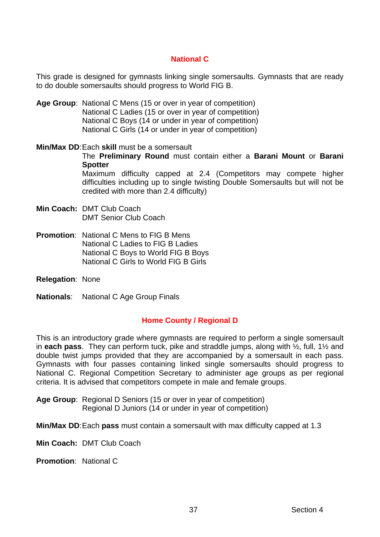#### **National C**

This grade is designed for gymnasts linking single somersaults. Gymnasts that are ready to do double somersaults should progress to World FIG B.

- **Age Group**: National C Mens (15 or over in year of competition) National C Ladies (15 or over in year of competition) National C Boys (14 or under in year of competition) National C Girls (14 or under in year of competition)
- **Min/Max DD**: Each **skill** must be a somersault

The **Preliminary Round** must contain either a **Barani Mount** or **Barani Spotter** 

Maximum difficulty capped at 2.4 (Competitors may compete higher difficulties including up to single twisting Double Somersaults but will not be credited with more than 2.4 difficulty)

- **Min Coach:** DMT Club Coach DMT Senior Club Coach
- **Promotion**: National C Mens to FIG B Mens National C Ladies to FIG B Ladies National C Boys to World FIG B Boys National C Girls to World FIG B Girls
- **Relegation**: None
- **Nationals**: National C Age Group Finals

# **Home County / Regional D**

This is an introductory grade where gymnasts are required to perform a single somersault in **each pass**. They can perform tuck, pike and straddle jumps, along with ½, full, 1½ and double twist jumps provided that they are accompanied by a somersault in each pass. Gymnasts with four passes containing linked single somersaults should progress to National C. Regional Competition Secretary to administer age groups as per regional criteria. It is advised that competitors compete in male and female groups.

**Age Group**: Regional D Seniors (15 or over in year of competition) Regional D Juniors (14 or under in year of competition)

**Min/Max DD**: Each **pass** must contain a somersault with max difficulty capped at 1.3

- **Min Coach:** DMT Club Coach
- **Promotion**: National C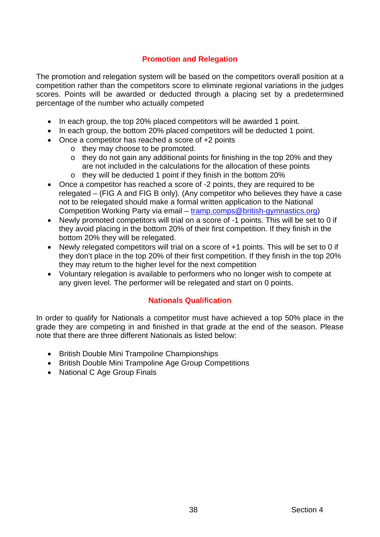# **Promotion and Relegation**

The promotion and relegation system will be based on the competitors overall position at a competition rather than the competitors score to eliminate regional variations in the judges scores. Points will be awarded or deducted through a placing set by a predetermined percentage of the number who actually competed

- In each group, the top 20% placed competitors will be awarded 1 point.
- In each group, the bottom 20% placed competitors will be deducted 1 point.
- Once a competitor has reached a score of +2 points
	- o they may choose to be promoted.
	- $\circ$  they do not gain any additional points for finishing in the top 20% and they are not included in the calculations for the allocation of these points
	- o they will be deducted 1 point if they finish in the bottom 20%
- Once a competitor has reached a score of -2 points, they are required to be relegated – (FIG A and FIG B only). (Any competitor who believes they have a case not to be relegated should make a formal written application to the National Competition Working Party via email – [tramp.comps@british-gymnastics.org](mailto:tramp.comps@british-gymnastics.org))
- Newly promoted competitors will trial on a score of -1 points. This will be set to 0 if they avoid placing in the bottom 20% of their first competition. If they finish in the bottom 20% they will be relegated.
- Newly relegated competitors will trial on a score of +1 points. This will be set to 0 if they don't place in the top 20% of their first competition. If they finish in the top 20% they may return to the higher level for the next competition
- Voluntary relegation is available to performers who no longer wish to compete at any given level. The performer will be relegated and start on 0 points.

# **Nationals Qualification**

In order to qualify for Nationals a competitor must have achieved a top 50% place in the grade they are competing in and finished in that grade at the end of the season. Please note that there are three different Nationals as listed below:

- British Double Mini Trampoline Championships
- British Double Mini Trampoline Age Group Competitions
- National C Age Group Finals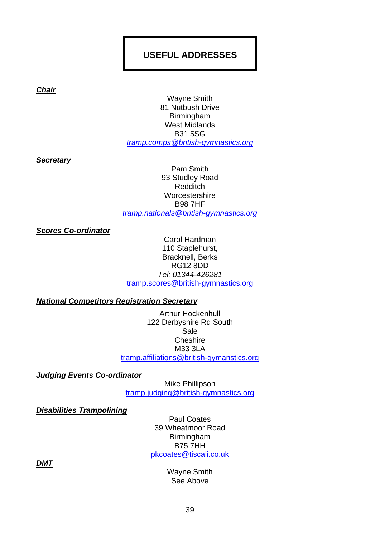# **USEFUL ADDRESSES**

*Chair* 

Wayne Smith 81 Nutbush Drive Birmingham West Midlands B31 5SG *[tramp.comps@british-gymnastics.org](mailto:tramp.comps@british-gymnastics.org)*

*Secretary* 

Pam Smith 93 Studley Road Redditch **Worcestershire** B98 7HF *[tramp.nationals@british-gymnastics.org](mailto:tramp.nationals@british-gymnastics.org)*

*Scores Co-ordinator* 

Carol Hardman 110 Staplehurst, Bracknell, Berks RG12 8DD *Tel: 01344-426281*  [tramp.scores@british-gymnastics.org](mailto:tramp.scores@british-gymnastics.org) 

*National Competitors Registration Secretary*

Arthur Hockenhull 122 Derbyshire Rd South Sale **Cheshire** M33 3LA [tramp.affiliations@british-gymanstics.org](mailto:tramp.affiliations@british-gymanstics.org) 

*Judging Events Co-ordinator* 

Mike Phillipson tramp.judging@british-gymnastics.org

*Disabilities Trampolining*

Paul Coates 39 Wheatmoor Road Birmingham B75 7HH pkcoates@tiscali.co.uk

*DMT*

Wayne Smith See Above